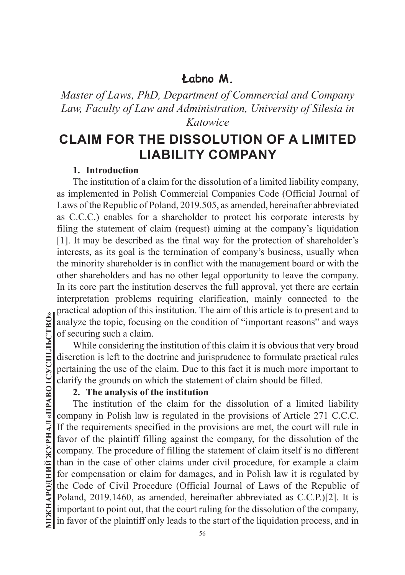*Master of Laws, PhD, Department of Commercial and Company Law, Faculty of Law and Administration, University of Silesia in Katowice*

# **CLAIM FOR THE DISSOLUTION OF A LIMITED LIABILITY COMPANY**

#### **1. Introduction**

The institution of a claim for the dissolution of a limited liability company, as implemented in Polish Commercial Companies Code (Official Journal of Laws of the Republic of Poland, 2019.505, as amended, hereinafter abbreviated as C.C.C.) enables for a shareholder to protect his corporate interests by filing the statement of claim (request) aiming at the company's liquidation [1]. It may be described as the final way for the protection of shareholder's interests, as its goal is the termination of company's business, usually when the minority shareholder is in conflict with the management board or with the other shareholders and has no other legal opportunity to leave the company. In its core part the institution deserves the full approval, yet there are certain interpretation problems requiring clarification, mainly connected to the practical adoption of this institution. The aim of this article is to present and to analyze the topic, focusing on the condition of "important reasons" and ways of securing such a claim.

While considering the institution of this claim it is obvious that very broad discretion is left to the doctrine and jurisprudence to formulate practical rules pertaining the use of the claim. Due to this fact it is much more important to clarify the grounds on which the statement of claim should be filled.

#### **2. The analysis of the institution**

The institution of the claim for the dissolution of a limited liability company in Polish law is regulated in the provisions of Article 271 C.C.C. If the requirements specified in the provisions are met, the court will rule in favor of the plaintiff filling against the company, for the dissolution of the company. The procedure of filling the statement of claim itself is no different than in the case of other claims under civil procedure, for example a claim for compensation or claim for damages, and in Polish law it is regulated by the Code of Civil Procedure (Official Journal of Laws of the Republic of Poland, 2019.1460, as amended, hereinafter abbreviated as C.C.P.)[2]. It is important to point out, that the court ruling for the dissolution of the company, in favor of the plaintiff only leads to the start of the liquidation process, and in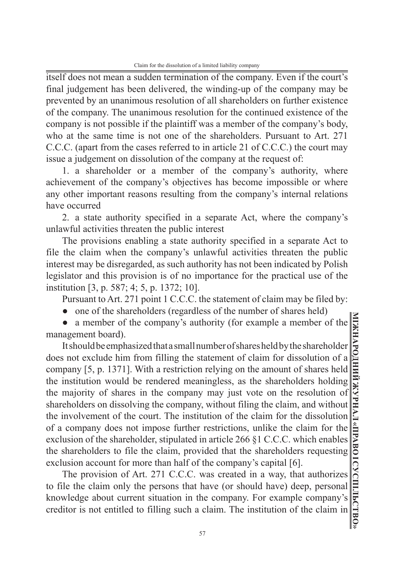itself does not mean a sudden termination of the company. Even if the court's final judgement has been delivered, the winding-up of the company may be prevented by an unanimous resolution of all shareholders on further existence of the company. The unanimous resolution for the continued existence of the company is not possible if the plaintiff was a member of the company's body, who at the same time is not one of the shareholders. Pursuant to Art. 271 C.C.C. (apart from the cases referred to in article 21 of C.C.C.) the court may issue a judgement on dissolution of the company at the request of:

1. a shareholder or a member of the company's authority, where achievement of the company's objectives has become impossible or where any other important reasons resulting from the company's internal relations have occurred

2. a state authority specified in a separate Act, where the company's unlawful activities threaten the public interest

The provisions enabling a state authority specified in a separate Act to file the claim when the company's unlawful activities threaten the public interest may be disregarded, as such authority has not been indicated by Polish legislator and this provision is of no importance for the practical use of the institution [3, p. 587; 4; 5, p. 1372; 10].

Pursuant to Art. 271 point 1 C.C.C. the statement of claim may be filed by:

• one of the shareholders (regardless of the number of shares held)

• a member of the company's authority (for example a member of the management board).

It should be emphasized that a small number of shares held by the shareholder does not exclude him from filling the statement of claim for dissolution of a company [5, p. 1371]. With a restriction relying on the amount of shares held the institution would be rendered meaningless, as the shareholders holding the majority of shares in the company may just vote on the resolution of shareholders on dissolving the company, without filing the claim, and without the involvement of the court. The institution of the claim for the dissolution of a company does not impose further restrictions, unlike the claim for the exclusion of the shareholder, stipulated in article 266 §1 C.C.C. which enables the shareholders to file the claim, provided that the shareholders requesting exclusion account for more than half of the company's capital [6].

The provision of Art. 271 C.C.C. was created in a way, that authorizes to file the claim only the persons that have (or should have) deep, personal knowledge about current situation in the company. For example company's creditor is not entitled to filling such a claim. The institution of the claim in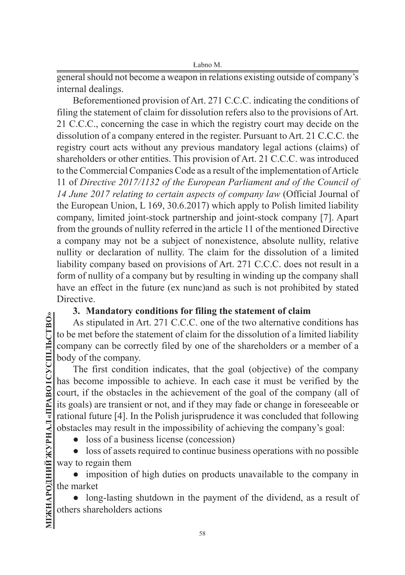general should not become a weapon in relations existing outside of company's internal dealings.

Beforementioned provision of Art. 271 C.C.C. indicating the conditions of filing the statement of claim for dissolution refers also to the provisions of Art. 21 C.C.C., concerning the case in which the registry court may decide on the dissolution of a company entered in the register. Pursuant to Art. 21 C.C.C. the registry court acts without any previous mandatory legal actions (claims) of shareholders or other entities. This provision of Art. 21 C.C.C. was introduced to the Commercial Companies Code as a result of the implementation of Article 11 of *Directive 2017/1132 of the European Parliament and of the Council of 14 June 2017 relating to certain aspects of company law* (Official Journal of the European Union, L 169, 30.6.2017) which apply to Polish limited liability company, limited joint-stock partnership and joint-stock company [7]. Apart from the grounds of nullity referred in the article 11 of the mentioned Directive a company may not be a subject of nonexistence, absolute nullity, relative nullity or declaration of nullity. The claim for the dissolution of a limited liability company based on provisions of Art. 271 C.C.C. does not result in a form of nullity of a company but by resulting in winding up the company shall have an effect in the future (ex nunc)and as such is not prohibited by stated Directive.

### **3. Mandatory conditions for filing the statement of claim**

As stipulated in Art. 271 C.C.C. one of the two alternative conditions has to be met before the statement of claim for the dissolution of a limited liability company can be correctly filed by one of the shareholders or a member of a body of the company.

The first condition indicates, that the goal (objective) of the company has become impossible to achieve. In each case it must be verified by the court, if the obstacles in the achievement of the goal of the company (all of its goals) are transient or not, and if they may fade or change in foreseeable or rational future [4]. In the Polish jurisprudence it was concluded that following obstacles may result in the impossibility of achieving the company's goal:

• loss of a business license (concession)

• loss of assets required to continue business operations with no possible way to regain them

• imposition of high duties on products unavailable to the company in the market

long-lasting shutdown in the payment of the dividend, as a result of others shareholders actions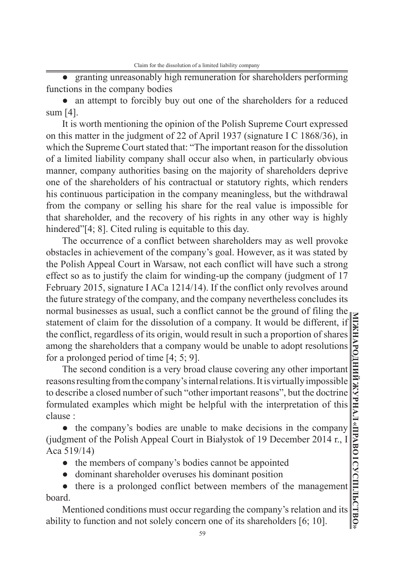• granting unreasonably high remuneration for shareholders performing functions in the company bodies

• an attempt to forcibly buy out one of the shareholders for a reduced sum [4].

It is worth mentioning the opinion of the Polish Supreme Court expressed on this matter in the judgment of 22 of April 1937 (signature I C 1868/36), in which the Supreme Court stated that: "The important reason for the dissolution of a limited liability company shall occur also when, in particularly obvious manner, company authorities basing on the majority of shareholders deprive one of the shareholders of his contractual or statutory rights, which renders his continuous participation in the company meaningless, but the withdrawal from the company or selling his share for the real value is impossible for that shareholder, and the recovery of his rights in any other way is highly hindered"[4; 8]. Cited ruling is equitable to this day.

The occurrence of a conflict between shareholders may as well provoke obstacles in achievement of the company's goal. However, as it was stated by the Polish Appeal Court in Warsaw, not each conflict will have such a strong effect so as to justify the claim for winding-up the company (judgment of 17 February 2015, signature I ACa 1214/14). If the conflict only revolves around the future strategy of the company, and the company nevertheless concludes its normal businesses as usual, such a conflict cannot be the ground of filing the statement of claim for the dissolution of a company. It would be different, if the conflict, regardless of its origin, would result in such a proportion of shares among the shareholders that a company would be unable to adopt resolutions for a prolonged period of time [4; 5; 9].

The second condition is a very broad clause covering any other important reasons resulting from the company's internal relations. It is virtually impossible to describe a closed number of such "other important reasons", but the doctrine formulated examples which might be helpful with the interpretation of this clause :

● the company's bodies are unable to make decisions in the company (judgment of the Polish Appeal Court in Białystok of 19 December 2014 r., I Aca 519/14)

- ● the members of company's bodies cannot be appointed
- ● dominant shareholder overuses his dominant position

● there is a prolonged conflict between members of the management board.

Mentioned conditions must occur regarding the company's relation and its ability to function and not solely concern one of its shareholders [6; 10].

**МІЖНАРОДНИЙ ЖУРНАЛ «ПРАВО І СУСПІЛЬСТВО»**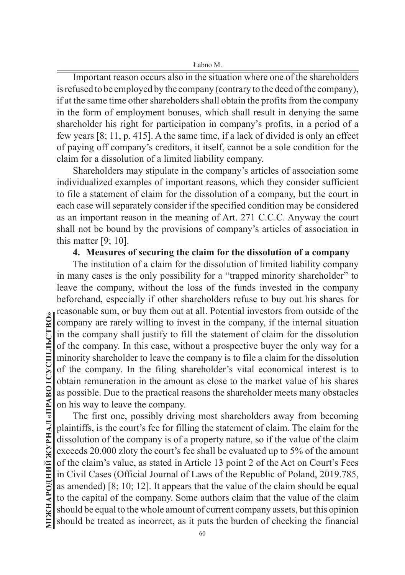Important reason occurs also in the situation where one of the shareholders is refused to be employed by the company (contrary to the deed of the company), if at the same time other shareholders shall obtain the profits from the company in the form of employment bonuses, which shall result in denying the same shareholder his right for participation in company's profits, in a period of a few years [8; 11, p. 415]. A the same time, if a lack of divided is only an effect of paying off company's creditors, it itself, cannot be a sole condition for the claim for a dissolution of a limited liability company.

Shareholders may stipulate in the company's articles of association some individualized examples of important reasons, which they consider sufficient to file a statement of claim for the dissolution of a company, but the court in each case will separately consider if the specified condition may be considered as an important reason in the meaning of Art. 271 C.C.C. Anyway the court shall not be bound by the provisions of company's articles of association in this matter [9; 10].

#### **4. Measures of securing the claim for the dissolution of a company**

The institution of a claim for the dissolution of limited liability company in many cases is the only possibility for a "trapped minority shareholder" to leave the company, without the loss of the funds invested in the company beforehand, especially if other shareholders refuse to buy out his shares for reasonable sum, or buy them out at all. Potential investors from outside of the company are rarely willing to invest in the company, if the internal situation in the company shall justify to fill the statement of claim for the dissolution of the company. In this case, without a prospective buyer the only way for a minority shareholder to leave the company is to file a claim for the dissolution of the company. In the filing shareholder's vital economical interest is to obtain remuneration in the amount as close to the market value of his shares as possible. Due to the practical reasons the shareholder meets many obstacles on his way to leave the company.

The first one, possibly driving most shareholders away from becoming plaintiffs, is the court's fee for filling the statement of claim. The claim for the dissolution of the company is of a property nature, so if the value of the claim exceeds 20.000 zloty the court's fee shall be evaluated up to 5% of the amount of the claim's value, as stated in Article 13 point 2 of the Act on Court's Fees in Civil Cases (Official Journal of Laws of the Republic of Poland, 2019.785, as amended) [8; 10; 12]. It appears that the value of the claim should be equal to the capital of the company. Some authors claim that the value of the claim should be equal to the whole amount of current company assets, but this opinion should be treated as incorrect, as it puts the burden of checking the financial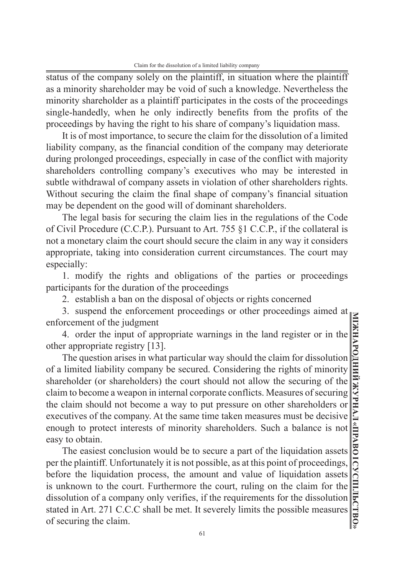status of the company solely on the plaintiff, in situation where the plaintiff as a minority shareholder may be void of such a knowledge. Nevertheless the minority shareholder as a plaintiff participates in the costs of the proceedings single-handedly, when he only indirectly benefits from the profits of the proceedings by having the right to his share of company's liquidation mass.

It is of most importance, to secure the claim for the dissolution of a limited liability company, as the financial condition of the company may deteriorate during prolonged proceedings, especially in case of the conflict with majority shareholders controlling company's executives who may be interested in subtle withdrawal of company assets in violation of other shareholders rights. Without securing the claim the final shape of company's financial situation may be dependent on the good will of dominant shareholders.

The legal basis for securing the claim lies in the regulations of the Code of Civil Procedure (C.C.P.). Pursuant to Art. 755 §1 C.C.P., if the collateral is not a monetary claim the court should secure the claim in any way it considers appropriate, taking into consideration current circumstances. The court may especially:

1. modify the rights and obligations of the parties or proceedings participants for the duration of the proceedings

2. establish a ban on the disposal of objects or rights concerned

3. suspend the enforcement proceedings or other proceedings aimed at enforcement of the judgment

4. order the input of appropriate warnings in the land register or in the other appropriate registry [13].

The question arises in what particular way should the claim for dissolution of a limited liability company be secured. Considering the rights of minority shareholder (or shareholders) the court should not allow the securing of the claim to become a weapon in internal corporate conflicts. Measures of securing the claim should not become a way to put pressure on other shareholders or executives of the company. At the same time taken measures must be decisive enough to protect interests of minority shareholders. Such a balance is not easy to obtain.

The easiest conclusion would be to secure a part of the liquidation assets per the plaintiff. Unfortunately it is not possible, as at this point of proceedings, before the liquidation process, the amount and value of liquidation assets is unknown to the court. Furthermore the court, ruling on the claim for the dissolution of a company only verifies, if the requirements for the dissolution stated in Art. 271 C.C.C shall be met. It severely limits the possible measures of securing the claim.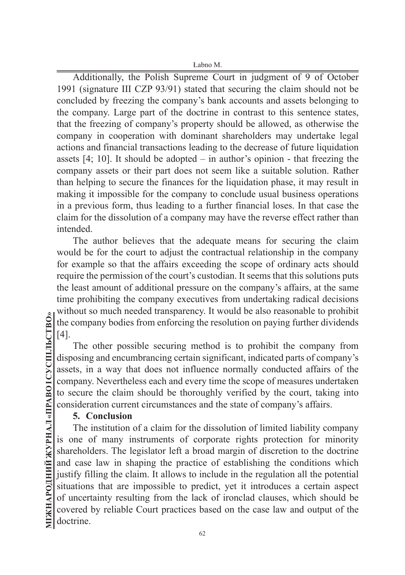Additionally, the Polish Supreme Court in judgment of 9 of October 1991 (signature III CZP 93/91) stated that securing the claim should not be concluded by freezing the company's bank accounts and assets belonging to the company. Large part of the doctrine in contrast to this sentence states, that the freezing of company's property should be allowed, as otherwise the company in cooperation with dominant shareholders may undertake legal actions and financial transactions leading to the decrease of future liquidation assets  $[4; 10]$ . It should be adopted – in author's opinion - that freezing the company assets or their part does not seem like a suitable solution. Rather than helping to secure the finances for the liquidation phase, it may result in making it impossible for the company to conclude usual business operations in a previous form, thus leading to a further financial loses. In that case the claim for the dissolution of a company may have the reverse effect rather than intended.

The author believes that the adequate means for securing the claim would be for the court to adjust the contractual relationship in the company for example so that the affairs exceeding the scope of ordinary acts should require the permission of the court's custodian. It seems that this solutions puts the least amount of additional pressure on the company's affairs, at the same time prohibiting the company executives from undertaking radical decisions without so much needed transparency. It would be also reasonable to prohibit the company bodies from enforcing the resolution on paying further dividends [4].

The other possible securing method is to prohibit the company from disposing and encumbrancing certain significant, indicated parts of company's assets, in a way that does not influence normally conducted affairs of the company. Nevertheless each and every time the scope of measures undertaken to secure the claim should be thoroughly verified by the court, taking into consideration current circumstances and the state of company's affairs.

#### **5. Conclusion**

The institution of a claim for the dissolution of limited liability company is one of many instruments of corporate rights protection for minority shareholders. The legislator left a broad margin of discretion to the doctrine and case law in shaping the practice of establishing the conditions which justify filling the claim. It allows to include in the regulation all the potential situations that are impossible to predict, yet it introduces a certain aspect of uncertainty resulting from the lack of ironclad clauses, which should be covered by reliable Court practices based on the case law and output of the doctrine.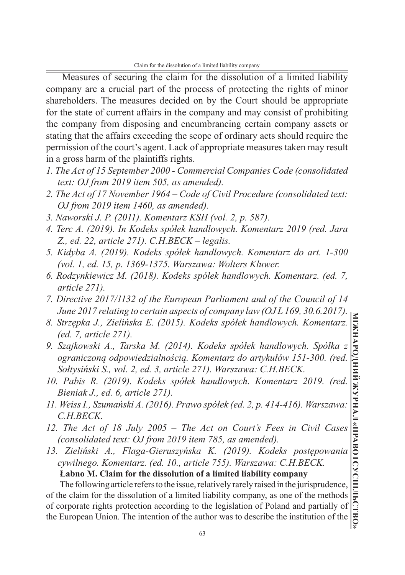Measures of securing the claim for the dissolution of a limited liability company are a crucial part of the process of protecting the rights of minor shareholders. The measures decided on by the Court should be appropriate for the state of current affairs in the company and may consist of prohibiting the company from disposing and encumbrancing certain company assets or stating that the affairs exceeding the scope of ordinary acts should require the permission of the court's agent. Lack of appropriate measures taken may result in a gross harm of the plaintiffs rights.

- *1. The Act of 15 September 2000 Commercial Companies Code (consolidated text: OJ from 2019 item 505, as amended).*
- *2. The Act of 17 November 1964 Code of Civil Procedure (consolidated text: OJ from 2019 item 1460, as amended).*
- *3. Naworski J. P. (2011). Komentarz KSH (vol. 2, p. 587).*
- *4. Terc A. (2019). In Kodeks spółek handlowych. Komentarz 2019 (red. Jara Z., ed. 22, article 271). C.H.BECK – legalis.*
- *5. Kidyba A. (2019). Kodeks spółek handlowych. Komentarz do art. 1-300 (vol. 1, ed. 15, p. 1369-1375. Warszawa: Wolters Kluwer.*
- *6. Rodzynkiewicz M. (2018). Kodeks spółek handlowych. Komentarz. (ed. 7, article 271).*
- *7. Directive 2017/1132 of the European Parliament and of the Council of 14 June 2017 relating to certain aspects of company law (OJ L 169, 30.6.2017).*
- *8. Strzępka J., Zielińska E. (2015). Kodeks spółek handlowych. Komentarz. (ed. 7, article 271).*
- *9. Szajkowski A., Tarska M. (2014). Kodeks spółek handlowych. Spółka z ograniczoną odpowiedzialnością. Komentarz do artykułów 151-300. (red. Sołtysiński S., vol. 2, ed. 3, article 271). Warszawa: C.H.BECK.*
- *10. Pabis R. (2019). Kodeks spółek handlowych. Komentarz 2019. (red. Bieniak J., ed. 6, article 271).*
- *11. Weiss I., Szumański A. (2016). Prawo spółek (ed. 2, p. 414-416). Warszawa: C.H.BECK.*
- *12. The Act of 18 July 2005 The Act on Court's Fees in Civil Cases (consolidated text: OJ from 2019 item 785, as amended).*
- *13. Zieliński A., Flaga-Gieruszyńska K. (2019). Kodeks postępowania cywilnego. Komentarz. (ed. 10., article 755). Warszawa: C.H.BECK.*

**Łabno M. Claim for the dissolution of a limited liability company** The following article refers to the issue, relatively rarely raised in the jurisprudence,

of the claim for the dissolution of a limited liability company, as one of the methods of corporate rights protection according to the legislation of Poland and partially of the European Union. The intention of the author was to describe the institution of the